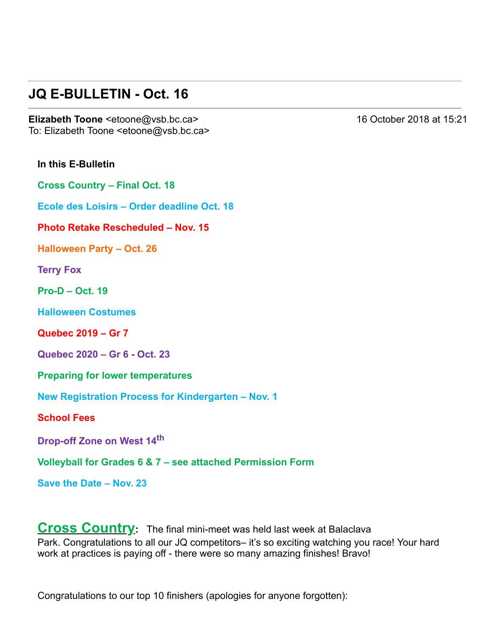### **JQ E-BULLETIN - Oct. 16**

**Elizabeth Toone** <etoone@vsb.bc.ca> 16 October 2018 at 15:21 To: Elizabeth Toone <etoone@vsb.bc.ca>

**In this E-Bulletin** 

**Cross Country – Final Oct. 18**

**Ecole des Loisirs – Order deadline Oct. 18**

**Photo Retake Rescheduled – Nov. 15**

**Halloween Party – Oct. 26**

**Terry Fox**

**Pro-D – Oct. 19** 

**Halloween Costumes**

**Quebec 2019 – Gr 7** 

**Quebec 2020 – Gr 6 Oct. 23**

**Preparing for lower temperatures**

**New Registration Process for Kindergarten – Nov. 1**

**School Fees**

**Drop-off Zone on West 14<sup>th</sup>** 

**Volleyball for Grades 6 & 7 – see attached Permission Form**

**Save the Date – Nov. 23**

**Cross Country:** The final mini-meet was held last week at Balaclava Park. Congratulations to all our JQ competitors– it's so exciting watching you race! Your hard work at practices is paying off - there were so many amazing finishes! Bravo!

Congratulations to our top 10 finishers (apologies for anyone forgotten):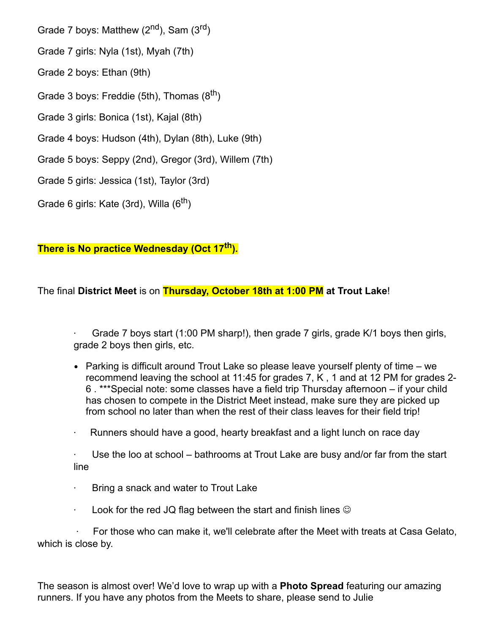Grade 7 boys: Matthew (2<sup>nd</sup>), Sam (3<sup>rd</sup>)

Grade 7 girls: Nyla (1st), Myah (7th)

Grade 2 boys: Ethan (9th)

Grade 3 boys: Freddie (5th), Thomas  $(8^{th})$ 

Grade 3 girls: Bonica (1st), Kajal (8th)

Grade 4 boys: Hudson (4th), Dylan (8th), Luke (9th)

Grade 5 boys: Seppy (2nd), Gregor (3rd), Willem (7th)

Grade 5 girls: Jessica (1st), Taylor (3rd)

Grade 6 girls: Kate (3rd), Willa (6<sup>th</sup>)

**There is No practice Wednesday (Oct 17th ).**

The final **District Meet** is on **Thursday, October 18th at 1:00 PM at Trout Lake**!

Grade 7 boys start (1:00 PM sharp!), then grade 7 girls, grade K/1 boys then girls, grade 2 boys then girls, etc.

- Parking is difficult around Trout Lake so please leave yourself plenty of time we recommend leaving the school at 11:45 for grades 7, K , 1 and at 12 PM for grades 2 6 . \*\*\*Special note: some classes have a field trip Thursday afternoon – if your child has chosen to compete in the District Meet instead, make sure they are picked up from school no later than when the rest of their class leaves for their field trip!
- $\cdot$  Runners should have a good, hearty breakfast and a light lunch on race day

 $\cdot$  Use the loo at school – bathrooms at Trout Lake are busy and/or far from the start line

- · Bring a snack and water to Trout Lake
- $\cdot$  Look for the red JQ flag between the start and finish lines  $\circledcirc$

· For those who can make it, we'll celebrate after the Meet with treats at Casa Gelato, which is close by.

The season is almost over! We'd love to wrap up with a **Photo Spread** featuring our amazing runners. If you have any photos from the Meets to share, please send to Julie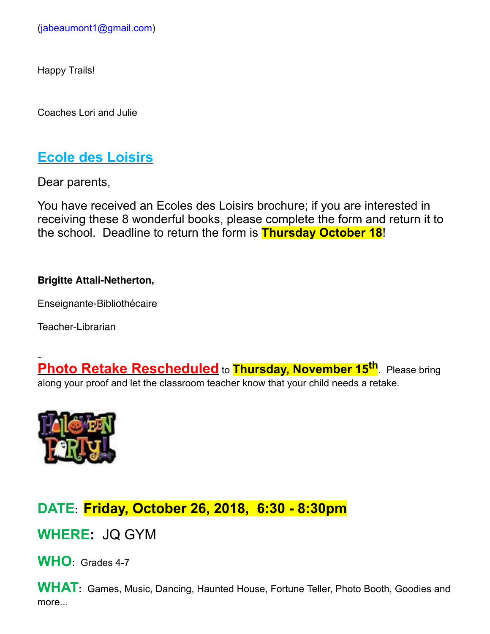Happy Trails!

Coaches Lori and Julie

### **Ecole des Loisirs**

Dear parents,

You have received an Ecoles des Loisirs brochure; if you are interested in receiving these 8 wonderful books, please complete the form and return it to the school. Deadline to return the form is **Thursday October 18**!

#### **Brigitte Attali-Netherton,**

Enseignante-Bibliothécaire

Teacher-Librarian

**Photo Retake Rescheduled** to **Thursday, November 15th**. Please bring along your proof and let the classroom teacher know that your child needs a retake.



### **DATE: Friday, October 26, 2018, 6:30 8:30pm**

**WHERE:** JQ GYM

WHO: Grades 4-7

**WHAT:** Games, Music, Dancing, Haunted House, Fortune Teller, Photo Booth, Goodies and more...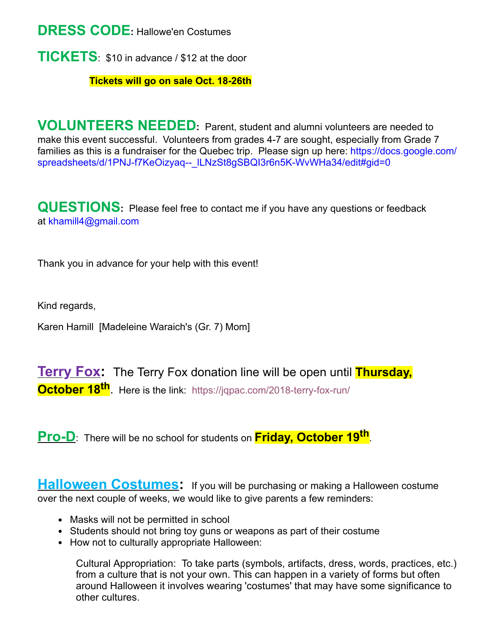**DRESS CODE:** Hallowe'en Costumes

**TICKETS**: \$10 in advance / \$12 at the door

**Tickets will go on sale Oct. 18-26th** 

**VOLUNTEERS NEEDED:** Parent, student and alumni volunteers are needed to make this event successful. Volunteers from grades 4-7 are sought, especially from Grade 7 families as this is a fundraiser for the Quebec trip. Please sign up here: https://docs.google.com/ spreadsheets/d/1PNJ-f7KeOizyaq-- ILNzSt8gSBQI3r6n5K-WvWHa34/edit#gid=0

**QUESTIONS:** Please feel free to contact me if you have any questions or feedback at [khamill4@gmail.com](mailto:khamill4@gmail.com)

Thank you in advance for your help with this event!

Kind regards,

Karen Hamill [Madeleine Waraich's (Gr. 7) Mom]

**Terry Fox:** The Terry Fox donation line will be open until **Thursday, October 18<sup>th</sup>**. Here is the link: https://jqpac.com/2018-terry-fox-run/

**ProD**: There will be no school for students on **Friday, October 19th**.

**Halloween Costumes:** If you will be purchasing or making a Halloween costume over the next couple of weeks, we would like to give parents a few reminders:

- Masks will not be permitted in school
- Students should not bring toy guns or weapons as part of their costume
- How not to culturally appropriate Halloween:

Cultural Appropriation: To take parts (symbols, artifacts, dress, words, practices, etc.) from a culture that is not your own. This can happen in a variety of forms but often around Halloween it involves wearing 'costumes' that may have some significance to other cultures.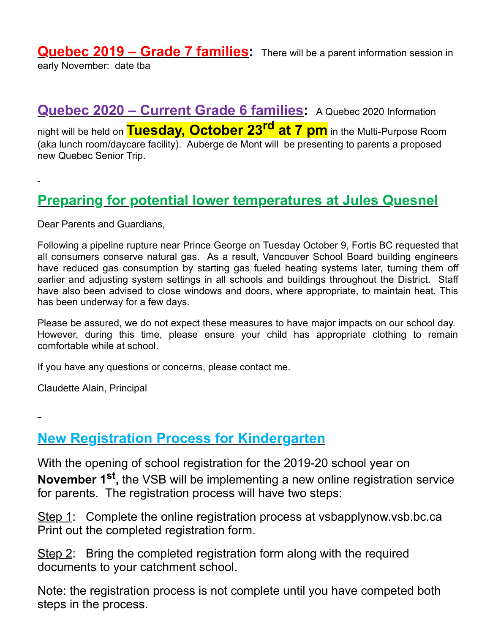**Quebec 2019 – Grade 7 families:** There will be a parent information session in early November: date tba

**Quebec 2020 – Current Grade 6 families:** A Quebec 2020 Information night will be held on **Tuesday, October 23 rd at 7 pm** in the MultiPurpose Room (aka lunch room/daycare facility). Auberge de Mont will be presenting to parents a proposed new Quebec Senior Trip.

### **Preparing for potential lower temperatures at Jules Quesnel**

Dear Parents and Guardians,

Following a pipeline rupture near Prince George on Tuesday October 9, Fortis BC requested that all consumers conserve natural gas. As a result, Vancouver School Board building engineers have reduced gas consumption by starting gas fueled heating systems later, turning them off earlier and adjusting system settings in all schools and buildings throughout the District. Staff have also been advised to close windows and doors, where appropriate, to maintain heat. This has been underway for a few days.

Please be assured, we do not expect these measures to have major impacts on our school day. However, during this time, please ensure your child has appropriate clothing to remain comfortable while at school.

If you have any questions or concerns, please contact me.

Claudette Alain, Principal

**New Registration Process for Kindergarten**

With the opening of school registration for the 2019-20 school year on **November 1st ,** the VSB will be implementing a new online registration service for parents. The registration process will have two steps:

Step 1: Complete the online registration process at vsbapplynow.vsb.bc.ca Print out the completed registration form.

Step 2: Bring the completed registration form along with the required documents to your catchment school.

Note: the registration process is not complete until you have competed both steps in the process.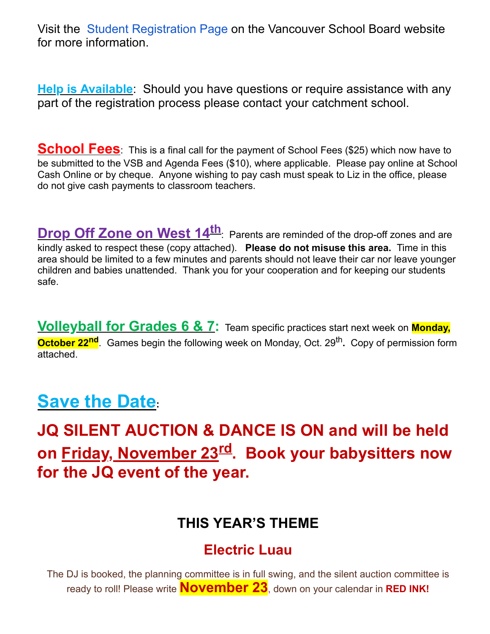Visit the [Student Registration Page](https://www.vsb.bc.ca/School/School-Registration/Pages/default.aspx) on the Vancouver School Board website for more information.

**Help is Available**: Should you have questions or require assistance with any part of the registration process please contact your catchment school.

**School Fees**: This is a final call for the payment of School Fees (\$25) which now have to be submitted to the VSB and Agenda Fees (\$10), where applicable. Please pay online at School Cash Online or by cheque. Anyone wishing to pay cash must speak to Liz in the office, please do not give cash payments to classroom teachers.

**Drop Off Zone on West 14<sup>th</sup>:** Parents are reminded of the drop-off zones and are kindly asked to respect these (copy attached). **Please do not misuse this area.** Time in this area should be limited to a few minutes and parents should not leave their car nor leave younger children and babies unattended. Thank you for your cooperation and for keeping our students safe.

**Volleyball for Grades 6 & 7:** Team specific practices start next week on **Monday, October 22<sup>nd</sup>**. Games begin the following week on Monday, Oct. 29<sup>th</sup>. Copy of permission form attached.

# **Save the Date:**

**JQ SILENT AUCTION & DANCE IS ON and will be held on Friday, November 23 rd. Book your babysitters now for the JQ event of the year.**

## **THIS YEAR'S THEME**

## **Electric Luau**

The DJ is booked, the planning committee is in full swing, and the silent auction committee is ready to roll! Please write **November 23**, down on your calendar in **RED INK!**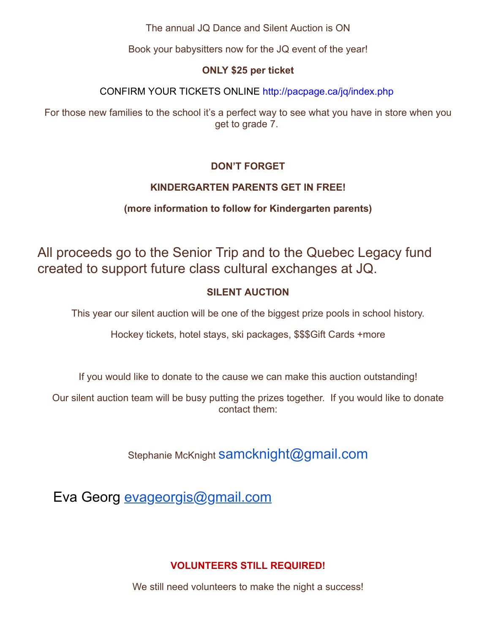The annual JQ Dance and Silent Auction is ON

Book your babysitters now for the JQ event of the year!

#### **ONLY \$25 per ticket**

CONFIRM YOUR TICKETS ONLINE<http://pacpage.ca/jq/index.php>

For those new families to the school it's a perfect way to see what you have in store when you get to grade 7.

#### **DON'T FORGET**

#### **KINDERGARTEN PARENTS GET IN FREE!**

#### **(more information to follow for Kindergarten parents)**

All proceeds go to the Senior Trip and to the Quebec Legacy fund created to support future class cultural exchanges at JQ.

#### **SILENT AUCTION**

This year our silent auction will be one of the biggest prize pools in school history.

Hockey tickets, hotel stays, ski packages, \$\$\$Gift Cards +more

If you would like to donate to the cause we can make this auction outstanding!

Our silent auction team will be busy putting the prizes together. If you would like to donate contact them:

Stephanie McKnight Samcknight@gmail.com

Eva Georg [evageorgis@gmail.com](mailto:evageorgis@gmail.com)

#### **VOLUNTEERS STILL REQUIRED!**

We still need volunteers to make the night a success!